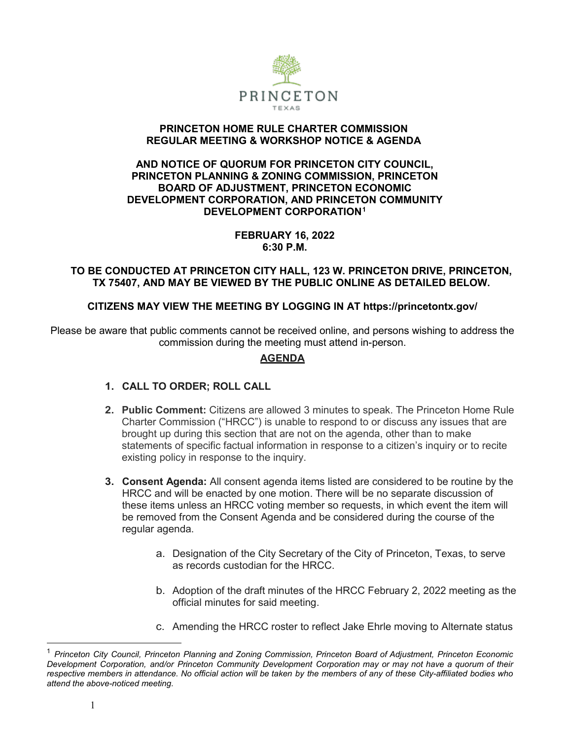

### **PRINCETON HOME RULE CHARTER COMMISSION REGULAR MEETING & WORKSHOP NOTICE & AGENDA**

#### **AND NOTICE OF QUORUM FOR PRINCETON CITY COUNCIL, PRINCETON PLANNING & ZONING COMMISSION, PRINCETON BOARD OF ADJUSTMENT, PRINCETON ECONOMIC DEVELOPMENT CORPORATION, AND PRINCETON COMMUNITY DEVELOPMENT CORPORATION[1](#page-0-0)**

### **FEBRUARY 16, 2022 6:30 P.M.**

### **TO BE CONDUCTED AT PRINCETON CITY HALL, 123 W. PRINCETON DRIVE, PRINCETON, TX 75407, AND MAY BE VIEWED BY THE PUBLIC ONLINE AS DETAILED BELOW.**

## **CITIZENS MAY VIEW THE MEETING BY LOGGING IN AT https://princetontx.gov/**

Please be aware that public comments cannot be received online, and persons wishing to address the commission during the meeting must attend in-person.

# **AGENDA**

## **1. CALL TO ORDER; ROLL CALL**

- **2. Public Comment:** Citizens are allowed 3 minutes to speak. The Princeton Home Rule Charter Commission ("HRCC") is unable to respond to or discuss any issues that are brought up during this section that are not on the agenda, other than to make statements of specific factual information in response to a citizen's inquiry or to recite existing policy in response to the inquiry.
- **3. Consent Agenda:** All consent agenda items listed are considered to be routine by the HRCC and will be enacted by one motion. There will be no separate discussion of these items unless an HRCC voting member so requests, in which event the item will be removed from the Consent Agenda and be considered during the course of the regular agenda.
	- a. Designation of the City Secretary of the City of Princeton, Texas, to serve as records custodian for the HRCC.
	- b. Adoption of the draft minutes of the HRCC February 2, 2022 meeting as the official minutes for said meeting.
	- c. Amending the HRCC roster to reflect Jake Ehrle moving to Alternate status

<span id="page-0-0"></span> <sup>1</sup> *Princeton City Council, Princeton Planning and Zoning Commission, Princeton Board of Adjustment, Princeton Economic Development Corporation, and/or Princeton Community Development Corporation may or may not have a quorum of their* respective members in attendance. No official action will be taken by the members of any of these City-affiliated bodies who *attend the above-noticed meeting.*